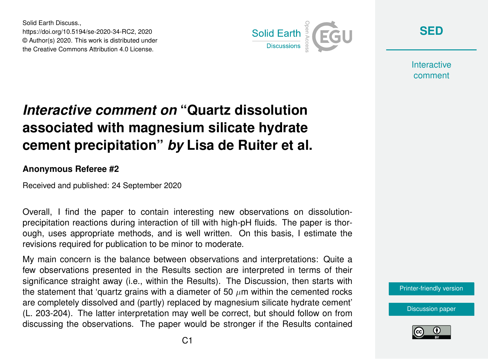Solid Earth Discuss., https://doi.org/10.5194/se-2020-34-RC2, 2020 © Author(s) 2020. This work is distributed under the Creative Commons Attribution 4.0 License.



**[SED](https://se.copernicus.org/preprints/)**

**Interactive** comment

# *Interactive comment on* **"Quartz dissolution associated with magnesium silicate hydrate cement precipitation"** *by* **Lisa de Ruiter et al.**

#### **Anonymous Referee #2**

Received and published: 24 September 2020

Overall, I find the paper to contain interesting new observations on dissolutionprecipitation reactions during interaction of till with high-pH fluids. The paper is thorough, uses appropriate methods, and is well written. On this basis, I estimate the revisions required for publication to be minor to moderate.

My main concern is the balance between observations and interpretations: Quite a few observations presented in the Results section are interpreted in terms of their significance straight away (i.e., within the Results). The Discussion, then starts with the statement that 'quartz grains with a diameter of 50  $\mu$ m within the cemented rocks are completely dissolved and (partly) replaced by magnesium silicate hydrate cement' (L. 203-204). The latter interpretation may well be correct, but should follow on from discussing the observations. The paper would be stronger if the Results contained

[Printer-friendly version](https://se.copernicus.org/preprints/se-2020-34/se-2020-34-RC2-print.pdf)

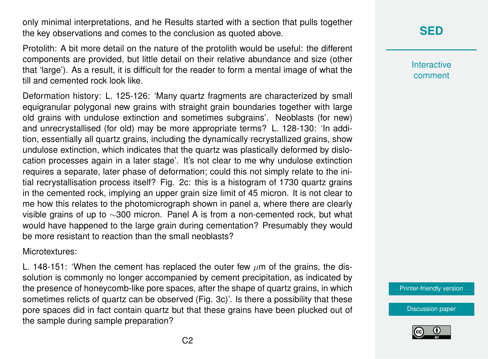only minimal interpretations, and he Results started with a section that pulls together the key observations and comes to the conclusion as quoted above.

Protolith: A bit more detail on the nature of the protolith would be useful: the different components are provided, but little detail on their relative abundance and size (other that 'large'). As a result, it is difficult for the reader to form a mental image of what the till and cemented rock look like.

Deformation history: L. 125-126: 'Many quartz fragments are characterized by small equigranular polygonal new grains with straight grain boundaries together with large old grains with undulose extinction and sometimes subgrains'. Neoblasts (for new) and unrecrystallised (for old) may be more appropriate terms? L. 128-130: 'In addition, essentially all quartz grains, including the dynamically recrystallized grains, show undulose extinction, which indicates that the quartz was plastically deformed by dislocation processes again in a later stage'. It's not clear to me why undulose extinction requires a separate, later phase of deformation; could this not simply relate to the initial recrystallisation process itself? Fig. 2c: this is a histogram of 1730 quartz grains in the cemented rock, implying an upper grain size limit of 45 micron. It is not clear to me how this relates to the photomicrograph shown in panel a, where there are clearly visible grains of up to ∼300 micron. Panel A is from a non-cemented rock, but what would have happened to the large grain during cementation? Presumably they would be more resistant to reaction than the small neoblasts?

Microtextures:

L. 148-151: 'When the cement has replaced the outer few  $\mu$ m of the grains, the dissolution is commonly no longer accompanied by cement precipitation, as indicated by the presence of honeycomb-like pore spaces, after the shape of quartz grains, in which sometimes relicts of quartz can be observed (Fig. 3c)'. Is there a possibility that these pore spaces did in fact contain quartz but that these grains have been plucked out of the sample during sample preparation?

## **[SED](https://se.copernicus.org/preprints/)**

**Interactive** comment

[Printer-friendly version](https://se.copernicus.org/preprints/se-2020-34/se-2020-34-RC2-print.pdf)

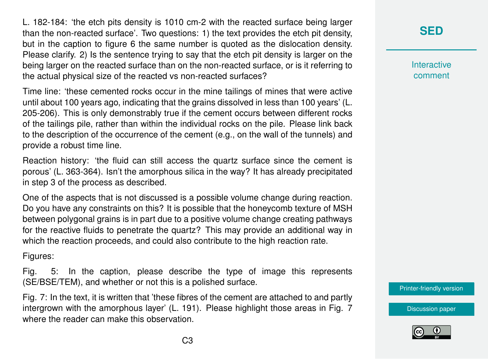L. 182-184: 'the etch pits density is 1010 cm-2 with the reacted surface being larger than the non-reacted surface'. Two questions: 1) the text provides the etch pit density, but in the caption to figure 6 the same number is quoted as the dislocation density. Please clarify. 2) Is the sentence trying to say that the etch pit density is larger on the being larger on the reacted surface than on the non-reacted surface, or is it referring to the actual physical size of the reacted vs non-reacted surfaces?

Time line: 'these cemented rocks occur in the mine tailings of mines that were active until about 100 years ago, indicating that the grains dissolved in less than 100 years' (L. 205-206). This is only demonstrably true if the cement occurs between different rocks of the tailings pile, rather than within the individual rocks on the pile. Please link back to the description of the occurrence of the cement (e.g., on the wall of the tunnels) and provide a robust time line.

Reaction history: 'the fluid can still access the quartz surface since the cement is porous' (L. 363-364). Isn't the amorphous silica in the way? It has already precipitated in step 3 of the process as described.

One of the aspects that is not discussed is a possible volume change during reaction. Do you have any constraints on this? It is possible that the honeycomb texture of MSH between polygonal grains is in part due to a positive volume change creating pathways for the reactive fluids to penetrate the quartz? This may provide an additional way in which the reaction proceeds, and could also contribute to the high reaction rate.

Figures:

Fig. 5: In the caption, please describe the type of image this represents (SE/BSE/TEM), and whether or not this is a polished surface.

Fig. 7: In the text, it is written that 'these fibres of the cement are attached to and partly intergrown with the amorphous layer' (L. 191). Please highlight those areas in Fig. 7 where the reader can make this observation.

### **[SED](https://se.copernicus.org/preprints/)**

**Interactive** comment

[Printer-friendly version](https://se.copernicus.org/preprints/se-2020-34/se-2020-34-RC2-print.pdf)